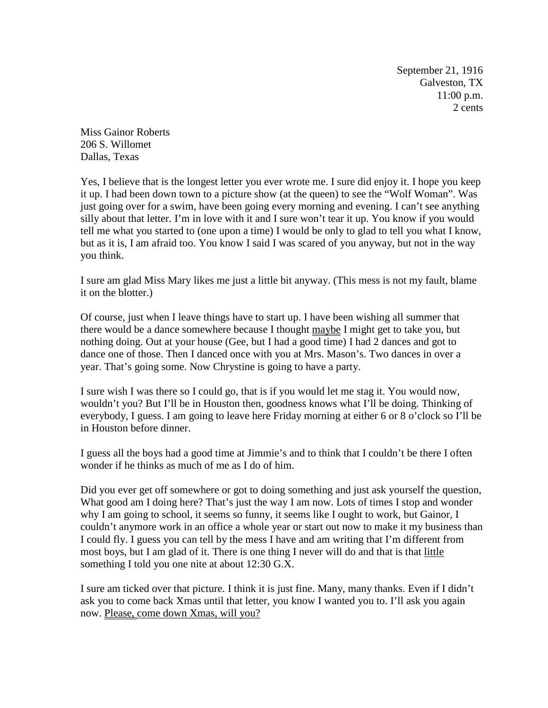September 21, 1916 Galveston, TX 11:00 p.m. 2 cents

Miss Gainor Roberts 206 S. Willomet Dallas, Texas

Yes, I believe that is the longest letter you ever wrote me. I sure did enjoy it. I hope you keep it up. I had been down town to a picture show (at the queen) to see the "Wolf Woman". Was just going over for a swim, have been going every morning and evening. I can't see anything silly about that letter. I'm in love with it and I sure won't tear it up. You know if you would tell me what you started to (one upon a time) I would be only to glad to tell you what I know, but as it is, I am afraid too. You know I said I was scared of you anyway, but not in the way you think.

I sure am glad Miss Mary likes me just a little bit anyway. (This mess is not my fault, blame it on the blotter.)

Of course, just when I leave things have to start up. I have been wishing all summer that there would be a dance somewhere because I thought maybe I might get to take you, but nothing doing. Out at your house (Gee, but I had a good time) I had 2 dances and got to dance one of those. Then I danced once with you at Mrs. Mason's. Two dances in over a year. That's going some. Now Chrystine is going to have a party.

I sure wish I was there so I could go, that is if you would let me stag it. You would now, wouldn't you? But I'll be in Houston then, goodness knows what I'll be doing. Thinking of everybody, I guess. I am going to leave here Friday morning at either 6 or 8 o'clock so I'll be in Houston before dinner.

I guess all the boys had a good time at Jimmie's and to think that I couldn't be there I often wonder if he thinks as much of me as I do of him.

Did you ever get off somewhere or got to doing something and just ask yourself the question, What good am I doing here? That's just the way I am now. Lots of times I stop and wonder why I am going to school, it seems so funny, it seems like I ought to work, but Gainor, I couldn't anymore work in an office a whole year or start out now to make it my business than I could fly. I guess you can tell by the mess I have and am writing that I'm different from most boys, but I am glad of it. There is one thing I never will do and that is that little something I told you one nite at about 12:30 G.X.

I sure am ticked over that picture. I think it is just fine. Many, many thanks. Even if I didn't ask you to come back Xmas until that letter, you know I wanted you to. I'll ask you again now. Please, come down Xmas, will you?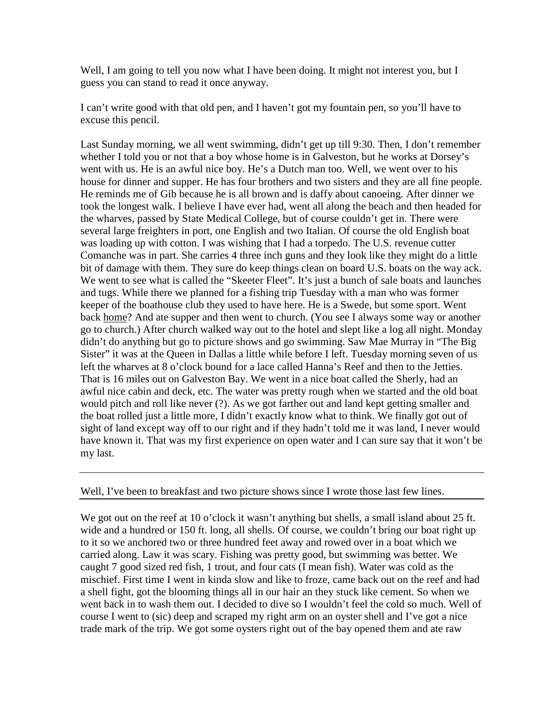Well, I am going to tell you now what I have been doing. It might not interest you, but I guess you can stand to read it once anyway.

I can't write good with that old pen, and I haven't got my fountain pen, so you'll have to excuse this pencil.

Last Sunday morning, we all went swimming, didn't get up till 9:30. Then, I don't remember whether I told you or not that a boy whose home is in Galveston, but he works at Dorsey's went with us. He is an awful nice boy. He's a Dutch man too. Well, we went over to his house for dinner and supper. He has four brothers and two sisters and they are all fine people. He reminds me of Gib because he is all brown and is daffy about canoeing. After dinner we took the longest walk. I believe I have ever had, went all along the beach and then headed for the wharves, passed by State Medical College, but of course couldn't get in. There were several large freighters in port, one English and two Italian. Of course the old English boat was loading up with cotton. I was wishing that I had a torpedo. The U.S. revenue cutter Comanche was in part. She carries 4 three inch guns and they look like they might do a little bit of damage with them. They sure do keep things clean on board U.S. boats on the way ack. We went to see what is called the "Skeeter Fleet". It's just a bunch of sale boats and launches and tugs. While there we planned for a fishing trip Tuesday with a man who was former keeper of the boathouse club they used to have here. He is a Swede, but some sport. Went back home? And ate supper and then went to church. (You see I always some way or another go to church.) After church walked way out to the hotel and slept like a log all night. Monday didn't do anything but go to picture shows and go swimming. Saw Mae Murray in "The Big Sister" it was at the Queen in Dallas a little while before I left. Tuesday morning seven of us left the wharves at 8 o'clock bound for a lace called Hanna's Reef and then to the Jetties. That is 16 miles out on Galveston Bay. We went in a nice boat called the Sherly, had an awful nice cabin and deck, etc. The water was pretty rough when we started and the old boat would pitch and roll like never (?). As we got farther out and land kept getting smaller and the boat rolled just a little more, I didn't exactly know what to think. We finally got out of sight of land except way off to our right and if they hadn't told me it was land, I never would have known it. That was my first experience on open water and I can sure say that it won't be my last.

## Well, I've been to breakfast and two picture shows since I wrote those last few lines.

We got out on the reef at 10 o'clock it wasn't anything but shells, a small island about 25 ft. wide and a hundred or 150 ft. long, all shells. Of course, we couldn't bring our boat right up to it so we anchored two or three hundred feet away and rowed over in a boat which we carried along. Law it was scary. Fishing was pretty good, but swimming was better. We caught 7 good sized red fish, 1 trout, and four cats (I mean fish). Water was cold as the mischief. First time I went in kinda slow and like to froze, came back out on the reef and had a shell fight, got the blooming things all in our hair an they stuck like cement. So when we went back in to wash them out. I decided to dive so I wouldn't feel the cold so much. Well of course I went to (sic) deep and scraped my right arm on an oyster shell and I've got a nice trade mark of the trip. We got some oysters right out of the bay opened them and ate raw